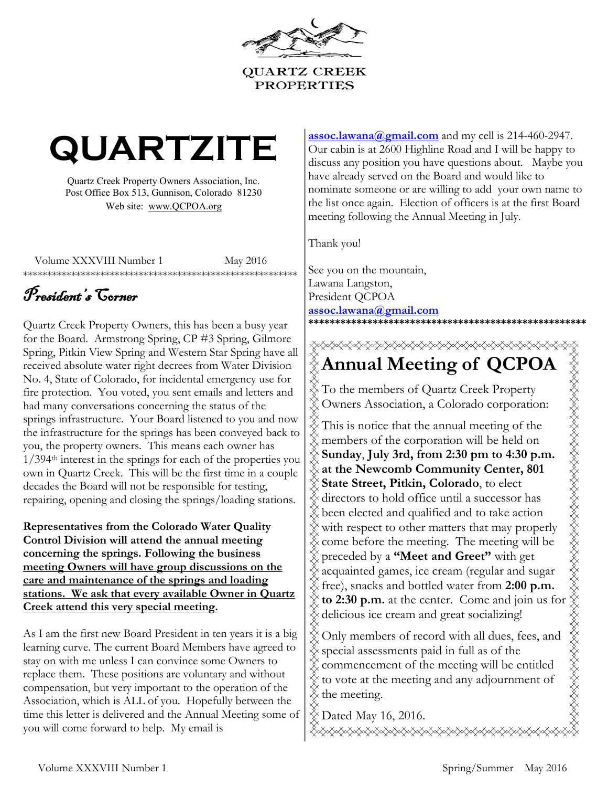

# **QUARTZITE**

Quartz Creek Property Owners Association, Inc. Post Office Box 513, Gunnison, Colorado 81230 Web site: www.QCPOA.org

Volume XXXVIII Number 1 May 2016

\*\*\*\*\*\*\*\*\*\*\*\*\*\*\*\*\*\*\*\*\*\*\*\*\*\*\*\*\*\*\*\*\*\*\*\*\*\*\*\*\*\*\*\*\*\*\*\*\*\*\*\*\*\*\*\*\*

## President's Corner

Quartz Creek Property Owners, this has been a busy year for the Board. Armstrong Spring, CP #3 Spring, Gilmore Spring, Pitkin View Spring and Western Star Spring have all received absolute water right decrees from Water Division No. 4, State of Colorado, for incidental emergency use for fire protection. You voted, you sent emails and letters and had many conversations concerning the status of the springs infrastructure. Your Board listened to you and now the infrastructure for the springs has been conveyed back to you, the property owners. This means each owner has 1/394th interest in the springs for each of the properties you own in Quartz Creek. This will be the first time in a couple decades the Board will not be responsible for testing, repairing, opening and closing the springs/loading stations.

**Representatives from the Colorado Water Quality Control Division will attend the annual meeting concerning the springs. Following the business meeting Owners will have group discussions on the care and maintenance of the springs and loading stations. We ask that every available Owner in Quartz Creek attend this very special meeting.**

As I am the first new Board President in ten years it is a big learning curve. The current Board Members have agreed to stay on with me unless I can convince some Owners to replace them. These positions are voluntary and without compensation, but very important to the operation of the Association, which is ALL of you. Hopefully between the time this letter is delivered and the Annual Meeting some of you will come forward to help. My email is

[assoc.lawana@gmail.com](mailto:assoc.lawana@gmail.com) and my cell is 214-460-2947. Our cabin is at 2600 Highline Road and I will be happy to discuss any position you have questions about. Maybe you have already served on the Board and would like to nominate someone or are willing to add your own name to the list once again. Election of officers is at the first Board meeting following the Annual Meeting in July.

Thank you!

See you on the mountain, Lawana Langston, President QCPOA **assoc.lawana@gmail.com \*\*\*\*\*\*\*\*\*\*\*\*\*\*\*\*\*\*\*\*\*\*\*\*\*\*\*\*\*\*\*\*\*\*\*\*\*\*\*\*\*\*\*\*\*\*\*\*\*\*\*\***

## **Annual Meeting of QCPOA The members of QCPC**<br>
To the members of Quartz Creek Property

Owners Association, a Colorado corporation: This is notice that the annual meeting of the members of the corporation will be held on **Sunday**, **July 3rd, from 2:30 pm to 4:30 p.m. at the Newcomb Community Center, 801 State Street, Pitkin, Colorado**, to elect directors to hold office until a successor has been elected and qualified and to take action with respect to other matters that may properly come before the meeting. The meeting will be preceded by a **"Meet and Greet"** with get acquainted games, ice cream (regular and sugar free), snacks and bottled water from **2:00 p.m. Annual Meeting of QCPOA**<br>
To the members of Quartz Creek Property<br>
Owners Association, a Colorado corporation:<br>
This is notice that the annual meeting of the<br> **sembers** of the corporation will be held on<br> **Sunday, July 3r**  $\frac{\%}{\%}$  to 2:30 p.m. at the center. Come and jo<br> $\frac{\%}{\%}$  delicious ice cream and great socializing!

 $\hat{\text{\%}}$  Only members of record with all dues, fees, and special assessments paid in full as of the commencement of the meeting will be entitled to vote at the meeting and any adjournment of the meeting.

 $\frac{1}{2}$  Dated May 16, 2016.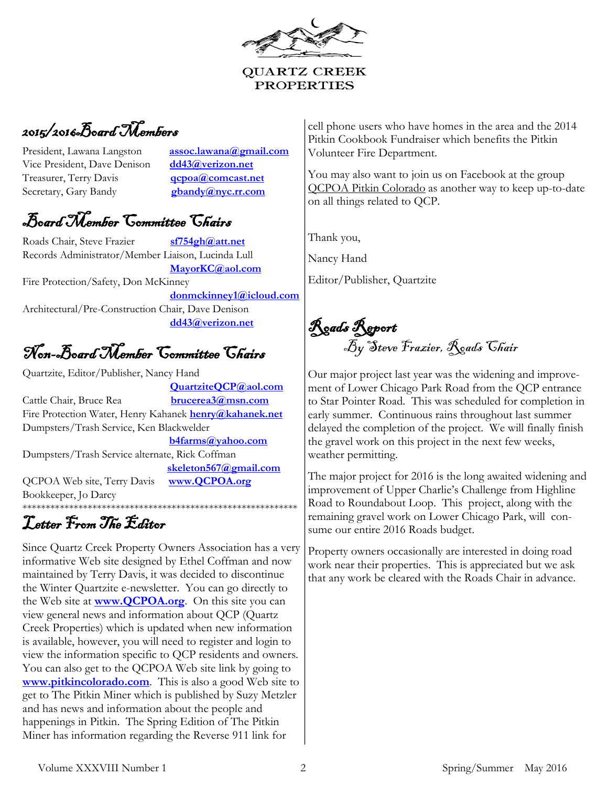**QUARTZ CREEK PROPERTIES** 

## 2015/2016Board Members

President, Lawana Langston assoc.lawana@gmail.com Vice President, Dave Denison **dd43@verizon.net** Treasurer, Terry Davis **qcpoa@comcast.net**  Secretary, Gary Bandy **gbandy@nyc.rr.com** 

## Board Member Committee Chairs

Roads Chair, Steve Frazier **sf754gh@att.net** Records Administrator/Member Liaison, Lucinda Lull **MayorKC@aol.com** Fire Protection/Safety, Don McKinney **donmckinney1@icloud.com** Architectural/Pre-Construction Chair, Dave Denison **dd43@verizon.net**

## Non-Board Member Committee Chairs

Quartzite, Editor/Publisher, Nancy Hand

 **QuartziteQCP@aol.com** Cattle Chair, Bruce Rea **brucerea3@msn.com** Fire Protection Water, Henry Kahanek **henry@kahanek.net**  Dumpsters/Trash Service, Ken Blackwelder **b4farms@yahoo.com** Dumpsters/Trash Service alternate, Rick Coffman **skeleton567@gmail.com** QCPOA Web site, Terry Davis **www.QCPOA.org** Bookkeeper, Jo Darcy \*\*\*\*\*\*\*\*\*\*\*\*\*\*\*\*\*\*\*\*\*\*\*\*\*\*\*\*\*\*\*\*\*\*\*\*\*\*\*\*\*\*\*\*\*\*\*\*\*\*\*\*\*\*\*\*\*\*\*

## Letter From The Editor

Since Quartz Creek Property Owners Association has a very informative Web site designed by Ethel Coffman and now maintained by Terry Davis, it was decided to discontinue the Winter Quartzite e-newsletter. You can go directly to the Web site at **www.QCPOA.org**. On this site you can view general news and information about QCP (Quartz Creek Properties) which is updated when new information is available, however, you will need to register and login to view the information specific to QCP residents and owners. You can also get to the QCPOA Web site link by going to **www.pitkincolorado.com**. This is also a good Web site to get to The Pitkin Miner which is published by Suzy Metzler and has news and information about the people and happenings in Pitkin. The Spring Edition of The Pitkin Miner has information regarding the Reverse 911 link for

cell phone users who have homes in the area and the 2014 Pitkin Cookbook Fundraiser which benefits the Pitkin Volunteer Fire Department.

You may also want to join us on Facebook at the group QCPOA Pitkin Colorado as another way to keep up-to-date on all things related to QCP.

Thank you,

Nancy Hand

Editor/Publisher, Quartzite

Roads Report By Steve Frazier, Roads Chair

Our major project last year was the widening and improvement of Lower Chicago Park Road from the QCP entrance to Star Pointer Road. This was scheduled for completion in early summer. Continuous rains throughout last summer delayed the completion of the project. We will finally finish the gravel work on this project in the next few weeks, weather permitting.

The major project for 2016 is the long awaited widening and improvement of Upper Charlie's Challenge from Highline Road to Roundabout Loop. This project, along with the remaining gravel work on Lower Chicago Park, will consume our entire 2016 Roads budget.

Property owners occasionally are interested in doing road work near their properties. This is appreciated but we ask that any work be cleared with the Roads Chair in advance.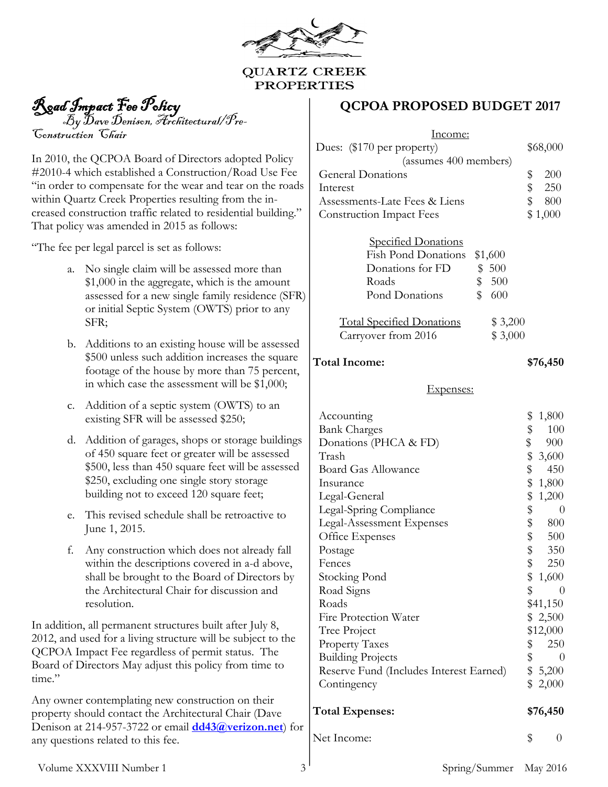

#### **QUARTZ CREEK PROPERTIES**

Road Impact Fee Policy

 $\mathcal{B}_y$   $\mathcal{B}_\text{ave}$   $\mathcal{D}$ enison, Architectural/Pre-Construction Chair

In 2010, the QCPOA Board of Directors adopted Policy #2010-4 which established a Construction/Road Use Fee "in order to compensate for the wear and tear on the roads within Quartz Creek Properties resulting from the increased construction traffic related to residential building." That policy was amended in 2015 as follows:

"The fee per legal parcel is set as follows:

- a. No single claim will be assessed more than \$1,000 in the aggregate, which is the amount assessed for a new single family residence (SFR) or initial Septic System (OWTS) prior to any SFR;
- b. Additions to an existing house will be assessed \$500 unless such addition increases the square footage of the house by more than 75 percent, in which case the assessment will be \$1,000;
- c. Addition of a septic system (OWTS) to an existing SFR will be assessed \$250;
- d. Addition of garages, shops or storage buildings of 450 square feet or greater will be assessed \$500, less than 450 square feet will be assessed \$250, excluding one single story storage building not to exceed 120 square feet;
- e. This revised schedule shall be retroactive to June 1, 2015.
- f. Any construction which does not already fall within the descriptions covered in a-d above, shall be brought to the Board of Directors by the Architectural Chair for discussion and resolution.

In addition, all permanent structures built after July 8, 2012, and used for a living structure will be subject to the QCPOA Impact Fee regardless of permit status. The Board of Directors May adjust this policy from time to time."

Any owner contemplating new construction on their property should contact the Architectural Chair (Dave Denison at 214-957-3722 or email **[dd43@verizon.net](mailto:dd43@verizon.net)**) for any questions related to this fee.

#### **QCPOA PROPOSED BUDGET 2017**

| <u>Income:</u><br>Dues: (\$170 per property)<br>(assumes 400 members)<br><b>General Donations</b><br>Interest<br>Assessments-Late Fees & Liens<br><b>Construction Impact Fees</b><br><b>Specified Donations</b><br><b>Fish Pond Donations</b><br>\$1,600<br>\$500<br>Donations for FD<br>\$<br>500<br>Roads<br>\$<br>Pond Donations<br>600                                                                                                                       | \$68,000<br>\$<br>200<br>\$<br>\$<br>250<br>800<br>\$1,000                                                                                                                                                                                                                                                            |  |  |  |
|------------------------------------------------------------------------------------------------------------------------------------------------------------------------------------------------------------------------------------------------------------------------------------------------------------------------------------------------------------------------------------------------------------------------------------------------------------------|-----------------------------------------------------------------------------------------------------------------------------------------------------------------------------------------------------------------------------------------------------------------------------------------------------------------------|--|--|--|
| <b>Total Specified Donations</b><br>\$3,200<br>\$3,000<br>Carryover from 2016                                                                                                                                                                                                                                                                                                                                                                                    |                                                                                                                                                                                                                                                                                                                       |  |  |  |
| <b>Total Income:</b>                                                                                                                                                                                                                                                                                                                                                                                                                                             | \$76,450                                                                                                                                                                                                                                                                                                              |  |  |  |
| Expenses:                                                                                                                                                                                                                                                                                                                                                                                                                                                        |                                                                                                                                                                                                                                                                                                                       |  |  |  |
| Accounting<br><b>Bank Charges</b><br>Donations (PHCA & FD)<br>Trash<br><b>Board Gas Allowance</b><br>Insurance<br>Legal-General<br>Legal-Spring Compliance<br>Legal-Assessment Expenses<br>Office Expenses<br>Postage<br>Fences<br><b>Stocking Pond</b><br>Road Signs<br>Roads<br>Fire Protection Water<br>Tree Project<br><b>Property Taxes</b><br><b>Building Projects</b><br>Reserve Fund (Includes Interest Earned)<br>Contingency<br><b>Total Expenses:</b> | \$<br>1,800<br>\$\$\$\$\$\$\$\$\$\$\$\$\$\$\$<br>100<br>900<br>3,600<br>450<br>1,800<br>1,200<br>$\theta$<br>800<br>500<br>350<br>\$<br>250<br>\$<br>1,600<br>\$<br>$\overline{0}$<br>\$41,150<br>\$<br>2,500<br>\$12,000<br>$\begin{array}{cc} $ & 250 \\ $ & 0 \\ $ & 5,200 \end{array}$<br>\$<br>2,000<br>\$76,450 |  |  |  |
|                                                                                                                                                                                                                                                                                                                                                                                                                                                                  |                                                                                                                                                                                                                                                                                                                       |  |  |  |
| Net Income:                                                                                                                                                                                                                                                                                                                                                                                                                                                      | \$<br>0                                                                                                                                                                                                                                                                                                               |  |  |  |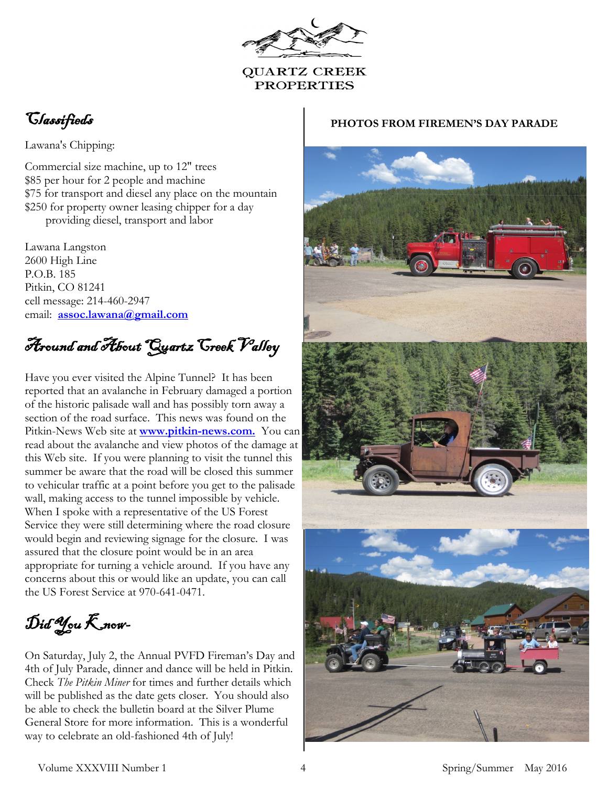#### **QUARTZ CREEK PROPERTIES**

## Classifieds

Lawana's Chipping:

Commercial size machine, up to 12" trees \$85 per hour for 2 people and machine \$75 for transport and diesel any place on the mountain \$250 for property owner leasing chipper for a day providing diesel, transport and labor

Lawana Langston 2600 High Line P.O.B. 185 Pitkin, CO 81241 cell message: 214-460-2947 email: **assoc.lawana[@gmail.com](mailto:lawmclan@gmail.com)**

Around and About Quartz Creek Valley

Have you ever visited the Alpine Tunnel? It has been reported that an avalanche in February damaged a portion of the historic palisade wall and has possibly torn away a section of the road surface. This news was found on the Pitkin-News Web site at **www.pitkin-news.com.** You can read about the avalanche and view photos of the damage at this Web site. If you were planning to visit the tunnel this summer be aware that the road will be closed this summer to vehicular traffic at a point before you get to the palisade wall, making access to the tunnel impossible by vehicle. When I spoke with a representative of the US Forest Service they were still determining where the road closure would begin and reviewing signage for the closure. I was assured that the closure point would be in an area appropriate for turning a vehicle around. If you have any concerns about this or would like an update, you can call the US Forest Service at 970-641-0471.

 $\mathcal{D}$ id You  $\mathcal{K}$  now-

On Saturday, July 2, the Annual PVFD Fireman's Day and 4th of July Parade, dinner and dance will be held in Pitkin. Check *The Pitkin Miner* for times and further details which will be published as the date gets closer. You should also be able to check the bulletin board at the Silver Plume General Store for more information. This is a wonderful way to celebrate an old-fashioned 4th of July!

#### **PHOTOS FROM FIREMEN'S DAY PARADE**

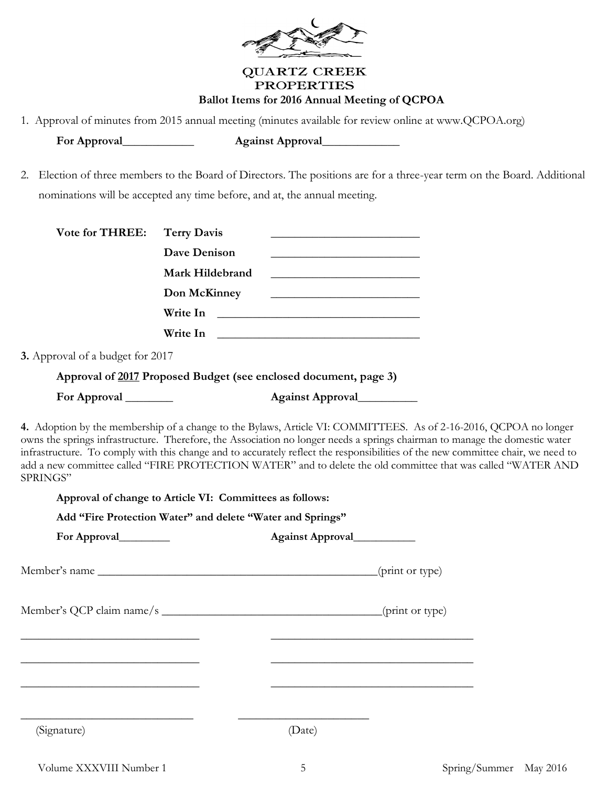

#### **QUARTZ CREEK PROPERTIES Ballot Items for 2016 Annual Meeting of QCPOA**

1. Approval of minutes from 2015 annual meeting (minutes available for review online at www.QCPOA.org)

**For Approval\_\_\_\_\_\_\_\_\_\_\_\_ Against Approval\_\_\_\_\_\_\_\_\_\_\_\_\_**

2. Election of three members to the Board of Directors. The positions are for a three-year term on the Board. Additional nominations will be accepted any time before, and at, the annual meeting.

|                                  | Dave Denison                                               | the control of the control of the control of the control of the control of the control of                                                                                                                                                         |  |
|----------------------------------|------------------------------------------------------------|---------------------------------------------------------------------------------------------------------------------------------------------------------------------------------------------------------------------------------------------------|--|
|                                  | Mark Hildebrand                                            | <u> 1989 - Johann Barn, fransk politik amerikansk politik (</u>                                                                                                                                                                                   |  |
|                                  | Don McKinney                                               | <u> 1989 - Johann Barn, fransk politik amerikansk politik (</u>                                                                                                                                                                                   |  |
|                                  |                                                            |                                                                                                                                                                                                                                                   |  |
|                                  |                                                            |                                                                                                                                                                                                                                                   |  |
| 3. Approval of a budget for 2017 |                                                            |                                                                                                                                                                                                                                                   |  |
|                                  |                                                            | Approval of 2017 Proposed Budget (see enclosed document, page 3)                                                                                                                                                                                  |  |
| For Approval                     |                                                            | Against Approval                                                                                                                                                                                                                                  |  |
| SPRINGS"                         | Approval of change to Article VI: Committees as follows:   | infrastructure. To comply with this change and to accurately reflect the responsibilities of the new committee chair, we need to<br>add a new committee called "FIRE PROTECTION WATER" and to delete the old committee that was called "WATER AND |  |
|                                  | Add "Fire Protection Water" and delete "Water and Springs" |                                                                                                                                                                                                                                                   |  |
| For Approval                     |                                                            | Against Approval                                                                                                                                                                                                                                  |  |
| Member's name                    |                                                            | (print or type)                                                                                                                                                                                                                                   |  |
|                                  |                                                            |                                                                                                                                                                                                                                                   |  |
|                                  |                                                            |                                                                                                                                                                                                                                                   |  |
|                                  |                                                            |                                                                                                                                                                                                                                                   |  |
|                                  |                                                            |                                                                                                                                                                                                                                                   |  |